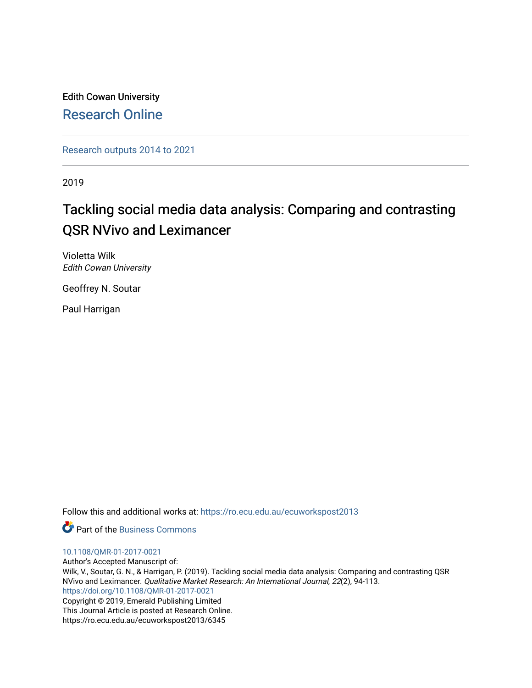Edith Cowan University [Research Online](https://ro.ecu.edu.au/) 

[Research outputs 2014 to 2021](https://ro.ecu.edu.au/ecuworkspost2013) 

2019

# Tackling social media data analysis: Comparing and contrasting QSR NVivo and Leximancer

Violetta Wilk Edith Cowan University

Geoffrey N. Soutar

Paul Harrigan

Follow this and additional works at: [https://ro.ecu.edu.au/ecuworkspost2013](https://ro.ecu.edu.au/ecuworkspost2013?utm_source=ro.ecu.edu.au%2Fecuworkspost2013%2F6345&utm_medium=PDF&utm_campaign=PDFCoverPages) 

Part of the [Business Commons](https://network.bepress.com/hgg/discipline/622?utm_source=ro.ecu.edu.au%2Fecuworkspost2013%2F6345&utm_medium=PDF&utm_campaign=PDFCoverPages)

#### [10.1108/QMR-01-2017-0021](http://dx.doi.org/10.1108/QMR-01-2017-0021)

Author's Accepted Manuscript of:

Wilk, V., Soutar, G. N., & Harrigan, P. (2019). Tackling social media data analysis: Comparing and contrasting QSR NVivo and Leximancer. Qualitative Market Research: An International Journal, 22(2), 94-113. <https://doi.org/10.1108/QMR-01-2017-0021> Copyright © 2019, Emerald Publishing Limited This Journal Article is posted at Research Online.

https://ro.ecu.edu.au/ecuworkspost2013/6345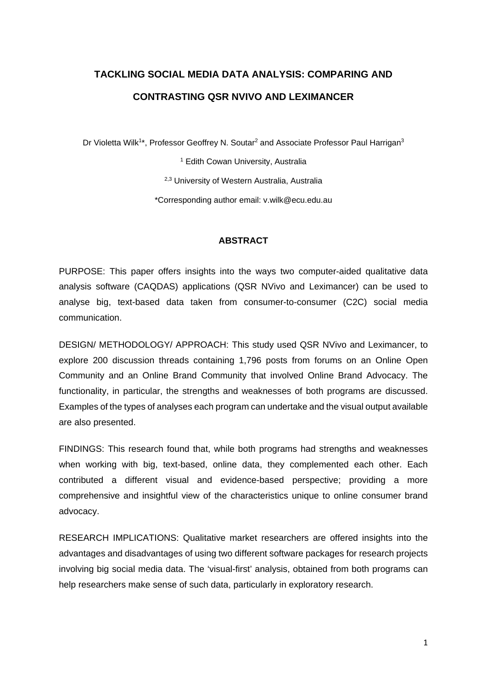# **TACKLING SOCIAL MEDIA DATA ANALYSIS: COMPARING AND CONTRASTING QSR NVIVO AND LEXIMANCER**

Dr Violetta Wilk<sup>1\*</sup>, Professor Geoffrey N. Soutar<sup>2</sup> and Associate Professor Paul Harrigan<sup>3</sup>

<sup>1</sup> Edith Cowan University, Australia 2,3 University of Western Australia, Australia \*Corresponding author email: v.wilk@ecu.edu.au

# **ABSTRACT**

PURPOSE: This paper offers insights into the ways two computer-aided qualitative data analysis software (CAQDAS) applications (QSR NVivo and Leximancer) can be used to analyse big, text-based data taken from consumer-to-consumer (C2C) social media communication.

DESIGN/ METHODOLOGY/ APPROACH: This study used QSR NVivo and Leximancer, to explore 200 discussion threads containing 1,796 posts from forums on an Online Open Community and an Online Brand Community that involved Online Brand Advocacy. The functionality, in particular, the strengths and weaknesses of both programs are discussed. Examples of the types of analyses each program can undertake and the visual output available are also presented.

FINDINGS: This research found that, while both programs had strengths and weaknesses when working with big, text-based, online data, they complemented each other. Each contributed a different visual and evidence-based perspective; providing a more comprehensive and insightful view of the characteristics unique to online consumer brand advocacy.

RESEARCH IMPLICATIONS: Qualitative market researchers are offered insights into the advantages and disadvantages of using two different software packages for research projects involving big social media data. The 'visual-first' analysis, obtained from both programs can help researchers make sense of such data, particularly in exploratory research.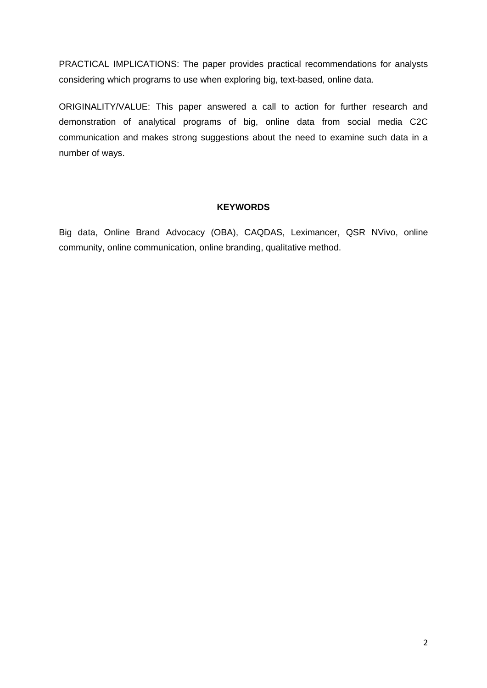PRACTICAL IMPLICATIONS: The paper provides practical recommendations for analysts considering which programs to use when exploring big, text-based, online data.

ORIGINALITY/VALUE: This paper answered a call to action for further research and demonstration of analytical programs of big, online data from social media C2C communication and makes strong suggestions about the need to examine such data in a number of ways.

# **KEYWORDS**

Big data, Online Brand Advocacy (OBA), CAQDAS, Leximancer, QSR NVivo, online community, online communication, online branding, qualitative method.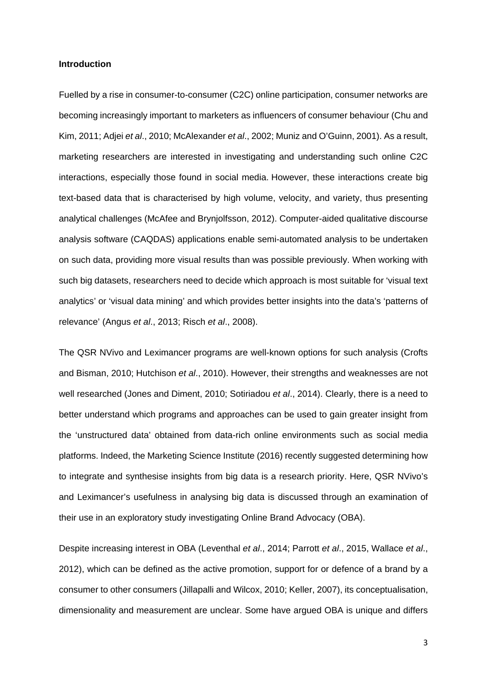#### **Introduction**

Fuelled by a rise in consumer-to-consumer (C2C) online participation, consumer networks are becoming increasingly important to marketers as influencers of consumer behaviour (Chu and Kim, 2011; Adjei *et al*., 2010; McAlexander *et al*., 2002; Muniz and O'Guinn, 2001). As a result, marketing researchers are interested in investigating and understanding such online C2C interactions, especially those found in social media. However, these interactions create big text-based data that is characterised by high volume, velocity, and variety, thus presenting analytical challenges (McAfee and Brynjolfsson, 2012). Computer-aided qualitative discourse analysis software (CAQDAS) applications enable semi-automated analysis to be undertaken on such data, providing more visual results than was possible previously. When working with such big datasets, researchers need to decide which approach is most suitable for 'visual text analytics' or 'visual data mining' and which provides better insights into the data's 'patterns of relevance' (Angus *et al*., 2013; Risch *et al*., 2008).

The QSR NVivo and Leximancer programs are well-known options for such analysis (Crofts and Bisman, 2010; Hutchison *et al*., 2010). However, their strengths and weaknesses are not well researched (Jones and Diment, 2010; Sotiriadou *et al*., 2014). Clearly, there is a need to better understand which programs and approaches can be used to gain greater insight from the 'unstructured data' obtained from data-rich online environments such as social media platforms. Indeed, the Marketing Science Institute (2016) recently suggested determining how to integrate and synthesise insights from big data is a research priority. Here, QSR NVivo's and Leximancer's usefulness in analysing big data is discussed through an examination of their use in an exploratory study investigating Online Brand Advocacy (OBA).

Despite increasing interest in OBA (Leventhal *et al*., 2014; Parrott *et al*., 2015, Wallace *et al*., 2012), which can be defined as the active promotion, support for or defence of a brand by a consumer to other consumers (Jillapalli and Wilcox, 2010; Keller, 2007), its conceptualisation, dimensionality and measurement are unclear. Some have argued OBA is unique and differs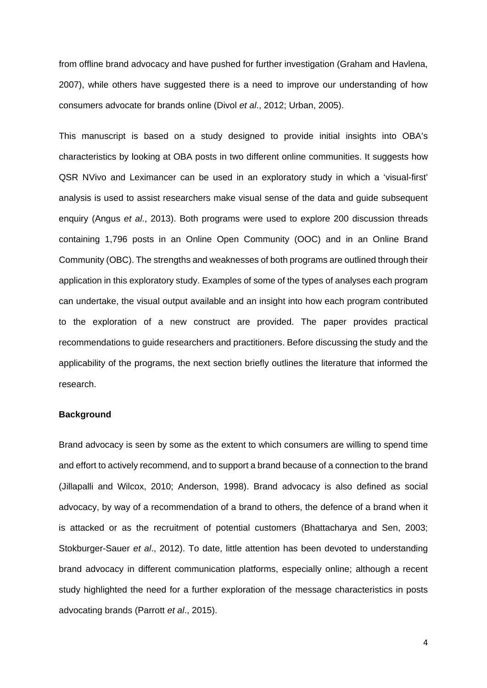from offline brand advocacy and have pushed for further investigation (Graham and Havlena, 2007), while others have suggested there is a need to improve our understanding of how consumers advocate for brands online (Divol *et al*., 2012; Urban, 2005).

This manuscript is based on a study designed to provide initial insights into OBA's characteristics by looking at OBA posts in two different online communities. It suggests how QSR NVivo and Leximancer can be used in an exploratory study in which a 'visual-first' analysis is used to assist researchers make visual sense of the data and guide subsequent enquiry (Angus *et al*., 2013). Both programs were used to explore 200 discussion threads containing 1,796 posts in an Online Open Community (OOC) and in an Online Brand Community (OBC). The strengths and weaknesses of both programs are outlined through their application in this exploratory study. Examples of some of the types of analyses each program can undertake, the visual output available and an insight into how each program contributed to the exploration of a new construct are provided. The paper provides practical recommendations to guide researchers and practitioners. Before discussing the study and the applicability of the programs, the next section briefly outlines the literature that informed the research.

### **Background**

Brand advocacy is seen by some as the extent to which consumers are willing to spend time and effort to actively recommend, and to support a brand because of a connection to the brand (Jillapalli and Wilcox, 2010; Anderson, 1998). Brand advocacy is also defined as social advocacy, by way of a recommendation of a brand to others, the defence of a brand when it is attacked or as the recruitment of potential customers (Bhattacharya and Sen, 2003; Stokburger-Sauer *et al*., 2012). To date, little attention has been devoted to understanding brand advocacy in different communication platforms, especially online; although a recent study highlighted the need for a further exploration of the message characteristics in posts advocating brands (Parrott *et al*., 2015).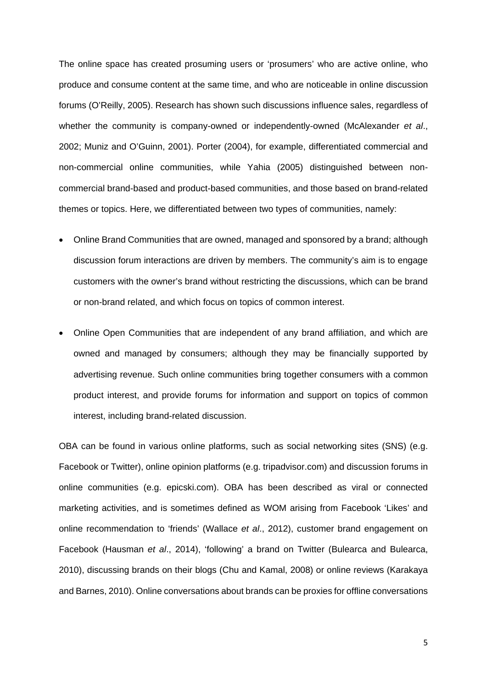The online space has created prosuming users or 'prosumers' who are active online, who produce and consume content at the same time, and who are noticeable in online discussion forums (O'Reilly, 2005). Research has shown such discussions influence sales, regardless of whether the community is company-owned or independently-owned (McAlexander *et al*., 2002; Muniz and O'Guinn, 2001). Porter (2004), for example, differentiated commercial and non-commercial online communities, while Yahia (2005) distinguished between noncommercial brand-based and product-based communities, and those based on brand-related themes or topics. Here, we differentiated between two types of communities, namely:

- Online Brand Communities that are owned, managed and sponsored by a brand; although discussion forum interactions are driven by members. The community's aim is to engage customers with the owner's brand without restricting the discussions, which can be brand or non-brand related, and which focus on topics of common interest.
- Online Open Communities that are independent of any brand affiliation, and which are owned and managed by consumers; although they may be financially supported by advertising revenue. Such online communities bring together consumers with a common product interest, and provide forums for information and support on topics of common interest, including brand-related discussion.

OBA can be found in various online platforms, such as social networking sites (SNS) (e.g. Facebook or Twitter), online opinion platforms (e.g. tripadvisor.com) and discussion forums in online communities (e.g. epicski.com). OBA has been described as viral or connected marketing activities, and is sometimes defined as WOM arising from Facebook 'Likes' and online recommendation to 'friends' (Wallace *et al*., 2012), customer brand engagement on Facebook (Hausman *et al*., 2014), 'following' a brand on Twitter (Bulearca and Bulearca, 2010), discussing brands on their blogs (Chu and Kamal, 2008) or online reviews (Karakaya and Barnes, 2010). Online conversations about brands can be proxies for offline conversations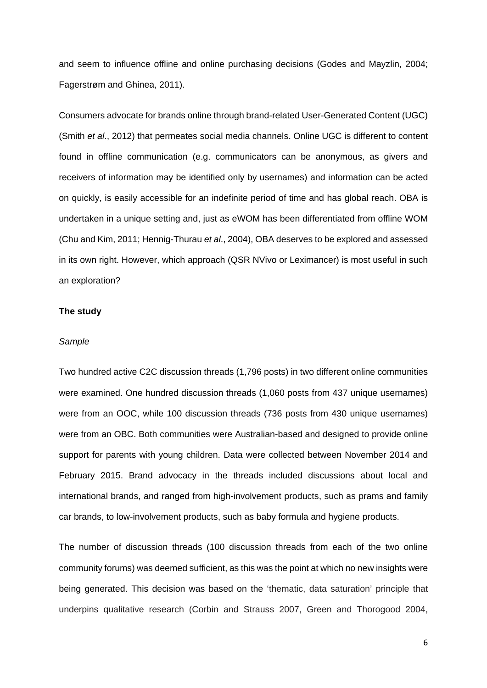and seem to influence offline and online purchasing decisions (Godes and Mayzlin, 2004; Fagerstrøm and Ghinea, 2011).

Consumers advocate for brands online through brand-related User-Generated Content (UGC) (Smith *et al*., 2012) that permeates social media channels. Online UGC is different to content found in offline communication (e.g. communicators can be anonymous, as givers and receivers of information may be identified only by usernames) and information can be acted on quickly, is easily accessible for an indefinite period of time and has global reach. OBA is undertaken in a unique setting and, just as eWOM has been differentiated from offline WOM (Chu and Kim, 2011; Hennig-Thurau *et al*., 2004), OBA deserves to be explored and assessed in its own right. However, which approach (QSR NVivo or Leximancer) is most useful in such an exploration?

#### **The study**

#### *Sample*

Two hundred active C2C discussion threads (1,796 posts) in two different online communities were examined. One hundred discussion threads (1,060 posts from 437 unique usernames) were from an OOC, while 100 discussion threads (736 posts from 430 unique usernames) were from an OBC. Both communities were Australian-based and designed to provide online support for parents with young children. Data were collected between November 2014 and February 2015. Brand advocacy in the threads included discussions about local and international brands, and ranged from high-involvement products, such as prams and family car brands, to low-involvement products, such as baby formula and hygiene products.

The number of discussion threads (100 discussion threads from each of the two online community forums) was deemed sufficient, as this was the point at which no new insights were being generated. This decision was based on the 'thematic, data saturation' principle that underpins qualitative research (Corbin and Strauss 2007, Green and Thorogood 2004,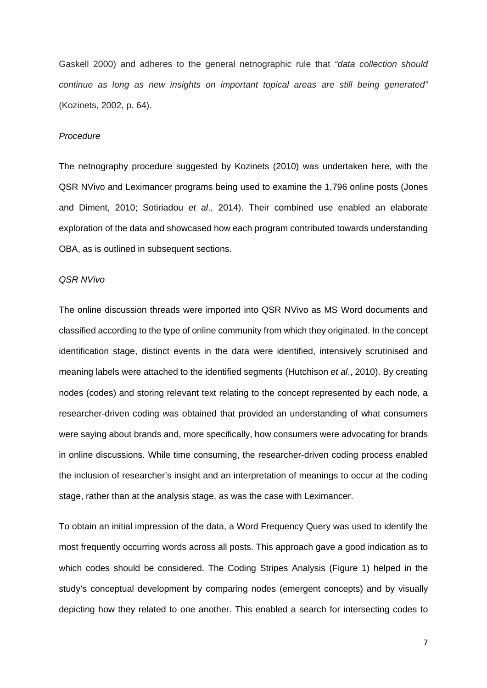Gaskell 2000) and adheres to the general netnographic rule that *"data collection should continue as long as new insights on important topical areas are still being generated"*  (Kozinets, 2002, p. 64).

#### *Procedure*

The netnography procedure suggested by Kozinets (2010) was undertaken here, with the QSR NVivo and Leximancer programs being used to examine the 1,796 online posts (Jones and Diment, 2010; Sotiriadou *et al*., 2014). Their combined use enabled an elaborate exploration of the data and showcased how each program contributed towards understanding OBA, as is outlined in subsequent sections.

#### *QSR NVivo*

The online discussion threads were imported into QSR NVivo as MS Word documents and classified according to the type of online community from which they originated. In the concept identification stage, distinct events in the data were identified, intensively scrutinised and meaning labels were attached to the identified segments (Hutchison *et al*., 2010). By creating nodes (codes) and storing relevant text relating to the concept represented by each node, a researcher-driven coding was obtained that provided an understanding of what consumers were saying about brands and, more specifically, how consumers were advocating for brands in online discussions. While time consuming, the researcher-driven coding process enabled the inclusion of researcher's insight and an interpretation of meanings to occur at the coding stage, rather than at the analysis stage, as was the case with Leximancer.

To obtain an initial impression of the data, a Word Frequency Query was used to identify the most frequently occurring words across all posts. This approach gave a good indication as to which codes should be considered. The Coding Stripes Analysis (Figure 1) helped in the study's conceptual development by comparing nodes (emergent concepts) and by visually depicting how they related to one another. This enabled a search for intersecting codes to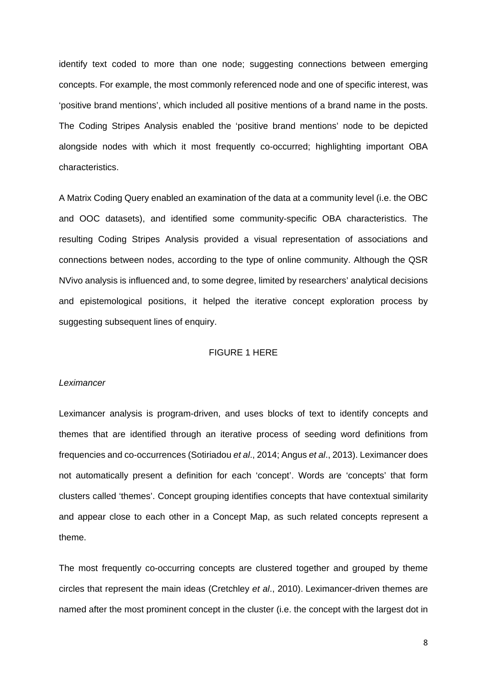identify text coded to more than one node; suggesting connections between emerging concepts. For example, the most commonly referenced node and one of specific interest, was 'positive brand mentions', which included all positive mentions of a brand name in the posts. The Coding Stripes Analysis enabled the 'positive brand mentions' node to be depicted alongside nodes with which it most frequently co-occurred; highlighting important OBA characteristics.

A Matrix Coding Query enabled an examination of the data at a community level (i.e. the OBC and OOC datasets), and identified some community-specific OBA characteristics. The resulting Coding Stripes Analysis provided a visual representation of associations and connections between nodes, according to the type of online community. Although the QSR NVivo analysis is influenced and, to some degree, limited by researchers' analytical decisions and epistemological positions, it helped the iterative concept exploration process by suggesting subsequent lines of enquiry.

### FIGURE 1 HERE

#### *Leximancer*

Leximancer analysis is program-driven, and uses blocks of text to identify concepts and themes that are identified through an iterative process of seeding word definitions from frequencies and co-occurrences (Sotiriadou *et al*., 2014; Angus *et al*., 2013). Leximancer does not automatically present a definition for each 'concept'. Words are 'concepts' that form clusters called 'themes'. Concept grouping identifies concepts that have contextual similarity and appear close to each other in a Concept Map, as such related concepts represent a theme.

The most frequently co-occurring concepts are clustered together and grouped by theme circles that represent the main ideas (Cretchley *et al*., 2010). Leximancer-driven themes are named after the most prominent concept in the cluster (i.e. the concept with the largest dot in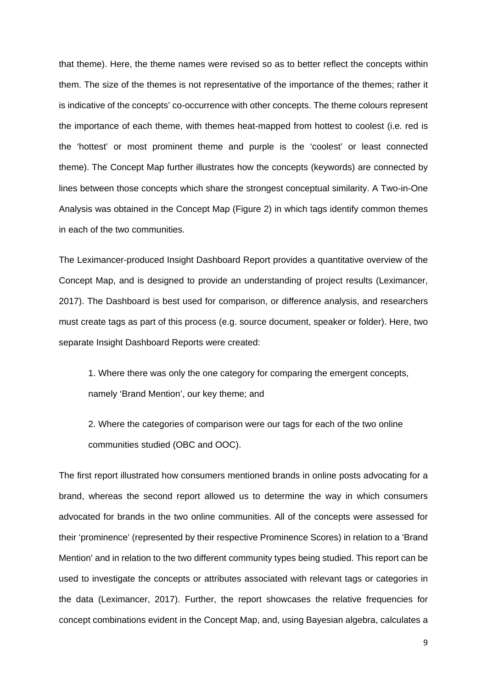that theme). Here, the theme names were revised so as to better reflect the concepts within them. The size of the themes is not representative of the importance of the themes; rather it is indicative of the concepts' co-occurrence with other concepts. The theme colours represent the importance of each theme, with themes heat-mapped from hottest to coolest (i.e. red is the 'hottest' or most prominent theme and purple is the 'coolest' or least connected theme). The Concept Map further illustrates how the concepts (keywords) are connected by lines between those concepts which share the strongest conceptual similarity. A Two-in-One Analysis was obtained in the Concept Map (Figure 2) in which tags identify common themes in each of the two communities.

The Leximancer-produced Insight Dashboard Report provides a quantitative overview of the Concept Map, and is designed to provide an understanding of project results (Leximancer, 2017). The Dashboard is best used for comparison, or difference analysis, and researchers must create tags as part of this process (e.g. source document, speaker or folder). Here, two separate Insight Dashboard Reports were created:

1. Where there was only the one category for comparing the emergent concepts, namely 'Brand Mention', our key theme; and

2. Where the categories of comparison were our tags for each of the two online communities studied (OBC and OOC).

The first report illustrated how consumers mentioned brands in online posts advocating for a brand, whereas the second report allowed us to determine the way in which consumers advocated for brands in the two online communities. All of the concepts were assessed for their 'prominence' (represented by their respective Prominence Scores) in relation to a 'Brand Mention' and in relation to the two different community types being studied. This report can be used to investigate the concepts or attributes associated with relevant tags or categories in the data (Leximancer, 2017). Further, the report showcases the relative frequencies for concept combinations evident in the Concept Map, and, using Bayesian algebra, calculates a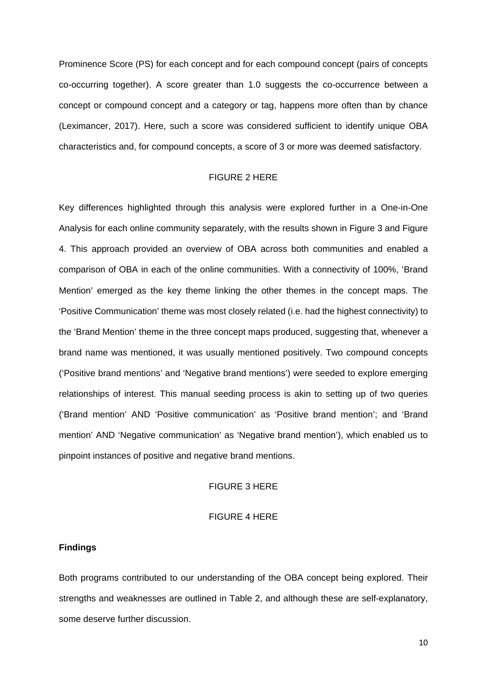Prominence Score (PS) for each concept and for each compound concept (pairs of concepts co-occurring together). A score greater than 1.0 suggests the co-occurrence between a concept or compound concept and a category or tag, happens more often than by chance (Leximancer, 2017). Here, such a score was considered sufficient to identify unique OBA characteristics and, for compound concepts, a score of 3 or more was deemed satisfactory.

#### FIGURE 2 HERE

Key differences highlighted through this analysis were explored further in a One-in-One Analysis for each online community separately, with the results shown in Figure 3 and Figure 4. This approach provided an overview of OBA across both communities and enabled a comparison of OBA in each of the online communities. With a connectivity of 100%, 'Brand Mention' emerged as the key theme linking the other themes in the concept maps. The 'Positive Communication' theme was most closely related (i.e. had the highest connectivity) to the 'Brand Mention' theme in the three concept maps produced, suggesting that, whenever a brand name was mentioned, it was usually mentioned positively. Two compound concepts ('Positive brand mentions' and 'Negative brand mentions') were seeded to explore emerging relationships of interest. This manual seeding process is akin to setting up of two queries ('Brand mention' AND 'Positive communication' as 'Positive brand mention'; and 'Brand mention' AND 'Negative communication' as 'Negative brand mention'), which enabled us to pinpoint instances of positive and negative brand mentions.

# FIGURE 3 HERE

#### FIGURE 4 HERE

#### **Findings**

Both programs contributed to our understanding of the OBA concept being explored. Their strengths and weaknesses are outlined in Table 2, and although these are self-explanatory, some deserve further discussion.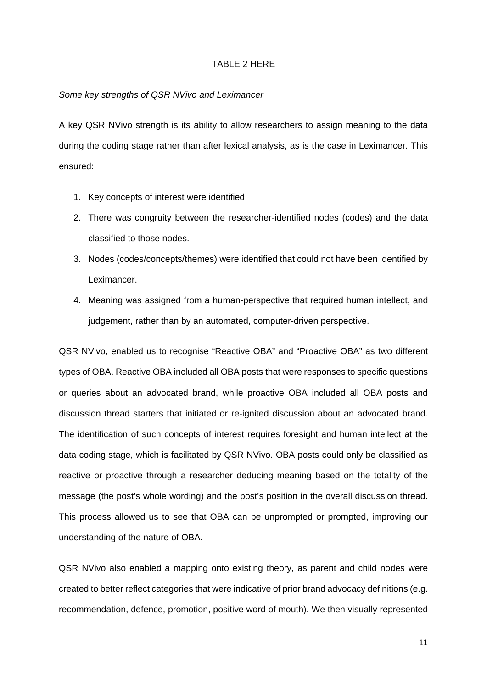#### TABLE 2 HERE

#### *Some key strengths of QSR NVivo and Leximancer*

A key QSR NVivo strength is its ability to allow researchers to assign meaning to the data during the coding stage rather than after lexical analysis, as is the case in Leximancer. This ensured:

- 1. Key concepts of interest were identified.
- 2. There was congruity between the researcher-identified nodes (codes) and the data classified to those nodes.
- 3. Nodes (codes/concepts/themes) were identified that could not have been identified by Leximancer.
- 4. Meaning was assigned from a human-perspective that required human intellect, and judgement, rather than by an automated, computer-driven perspective.

QSR NVivo, enabled us to recognise "Reactive OBA" and "Proactive OBA" as two different types of OBA. Reactive OBA included all OBA posts that were responses to specific questions or queries about an advocated brand, while proactive OBA included all OBA posts and discussion thread starters that initiated or re-ignited discussion about an advocated brand. The identification of such concepts of interest requires foresight and human intellect at the data coding stage, which is facilitated by QSR NVivo. OBA posts could only be classified as reactive or proactive through a researcher deducing meaning based on the totality of the message (the post's whole wording) and the post's position in the overall discussion thread. This process allowed us to see that OBA can be unprompted or prompted, improving our understanding of the nature of OBA.

QSR NVivo also enabled a mapping onto existing theory, as parent and child nodes were created to better reflect categories that were indicative of prior brand advocacy definitions (e.g. recommendation, defence, promotion, positive word of mouth). We then visually represented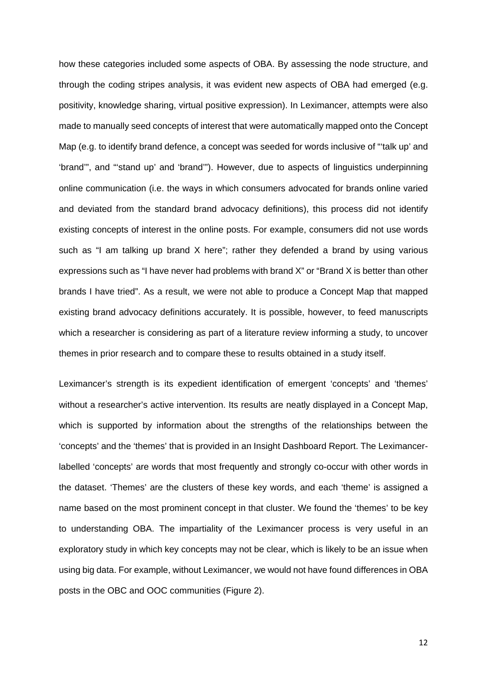how these categories included some aspects of OBA. By assessing the node structure, and through the coding stripes analysis, it was evident new aspects of OBA had emerged (e.g. positivity, knowledge sharing, virtual positive expression). In Leximancer, attempts were also made to manually seed concepts of interest that were automatically mapped onto the Concept Map (e.g. to identify brand defence, a concept was seeded for words inclusive of "'talk up' and 'brand'", and "'stand up' and 'brand'"). However, due to aspects of linguistics underpinning online communication (i.e. the ways in which consumers advocated for brands online varied and deviated from the standard brand advocacy definitions), this process did not identify existing concepts of interest in the online posts. For example, consumers did not use words such as "I am talking up brand X here"; rather they defended a brand by using various expressions such as "I have never had problems with brand X" or "Brand X is better than other brands I have tried". As a result, we were not able to produce a Concept Map that mapped existing brand advocacy definitions accurately. It is possible, however, to feed manuscripts which a researcher is considering as part of a literature review informing a study, to uncover themes in prior research and to compare these to results obtained in a study itself.

Leximancer's strength is its expedient identification of emergent 'concepts' and 'themes' without a researcher's active intervention. Its results are neatly displayed in a Concept Map, which is supported by information about the strengths of the relationships between the 'concepts' and the 'themes' that is provided in an Insight Dashboard Report. The Leximancerlabelled 'concepts' are words that most frequently and strongly co-occur with other words in the dataset. 'Themes' are the clusters of these key words, and each 'theme' is assigned a name based on the most prominent concept in that cluster. We found the 'themes' to be key to understanding OBA. The impartiality of the Leximancer process is very useful in an exploratory study in which key concepts may not be clear, which is likely to be an issue when using big data. For example, without Leximancer, we would not have found differences in OBA posts in the OBC and OOC communities (Figure 2).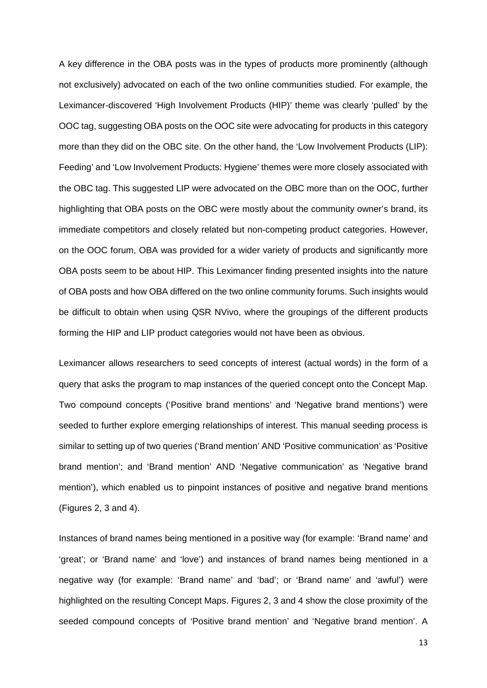A key difference in the OBA posts was in the types of products more prominently (although not exclusively) advocated on each of the two online communities studied. For example, the Leximancer-discovered 'High Involvement Products (HIP)' theme was clearly 'pulled' by the OOC tag, suggesting OBA posts on the OOC site were advocating for products in this category more than they did on the OBC site. On the other hand, the 'Low Involvement Products (LIP): Feeding' and 'Low Involvement Products: Hygiene' themes were more closely associated with the OBC tag. This suggested LIP were advocated on the OBC more than on the OOC, further highlighting that OBA posts on the OBC were mostly about the community owner's brand, its immediate competitors and closely related but non-competing product categories. However, on the OOC forum, OBA was provided for a wider variety of products and significantly more OBA posts seem to be about HIP. This Leximancer finding presented insights into the nature of OBA posts and how OBA differed on the two online community forums. Such insights would be difficult to obtain when using QSR NVivo, where the groupings of the different products forming the HIP and LIP product categories would not have been as obvious.

Leximancer allows researchers to seed concepts of interest (actual words) in the form of a query that asks the program to map instances of the queried concept onto the Concept Map. Two compound concepts ('Positive brand mentions' and 'Negative brand mentions') were seeded to further explore emerging relationships of interest. This manual seeding process is similar to setting up of two queries ('Brand mention' AND 'Positive communication' as 'Positive brand mention'; and 'Brand mention' AND 'Negative communication' as 'Negative brand mention'), which enabled us to pinpoint instances of positive and negative brand mentions (Figures 2, 3 and 4).

Instances of brand names being mentioned in a positive way (for example: 'Brand name' and 'great'; or 'Brand name' and 'love') and instances of brand names being mentioned in a negative way (for example: 'Brand name' and 'bad'; or 'Brand name' and 'awful') were highlighted on the resulting Concept Maps. Figures 2, 3 and 4 show the close proximity of the seeded compound concepts of 'Positive brand mention' and 'Negative brand mention'. A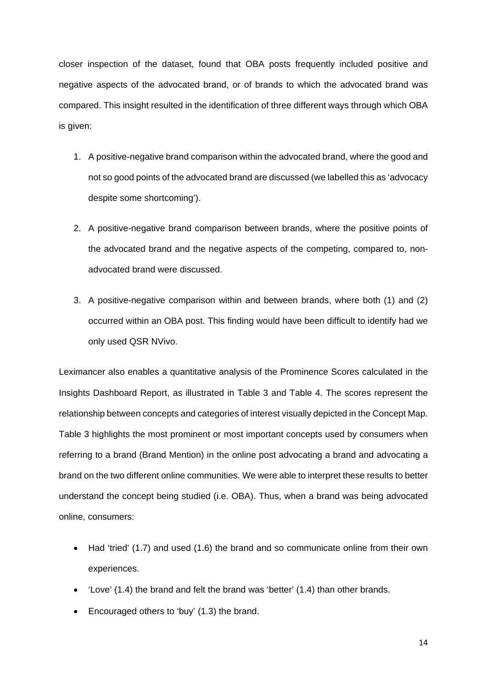closer inspection of the dataset, found that OBA posts frequently included positive and negative aspects of the advocated brand, or of brands to which the advocated brand was compared. This insight resulted in the identification of three different ways through which OBA is given:

- 1. A positive-negative brand comparison within the advocated brand, where the good and not so good points of the advocated brand are discussed (we labelled this as 'advocacy despite some shortcoming').
- 2. A positive-negative brand comparison between brands, where the positive points of the advocated brand and the negative aspects of the competing, compared to, nonadvocated brand were discussed.
- 3. A positive-negative comparison within and between brands, where both (1) and (2) occurred within an OBA post. This finding would have been difficult to identify had we only used QSR NVivo.

Leximancer also enables a quantitative analysis of the Prominence Scores calculated in the Insights Dashboard Report, as illustrated in Table 3 and Table 4. The scores represent the relationship between concepts and categories of interest visually depicted in the Concept Map. Table 3 highlights the most prominent or most important concepts used by consumers when referring to a brand (Brand Mention) in the online post advocating a brand and advocating a brand on the two different online communities. We were able to interpret these results to better understand the concept being studied (i.e. OBA). Thus, when a brand was being advocated online, consumers:

- Had 'tried' (1.7) and used (1.6) the brand and so communicate online from their own experiences.
- 'Love' (1.4) the brand and felt the brand was 'better' (1.4) than other brands.
- Encouraged others to 'buy' (1.3) the brand.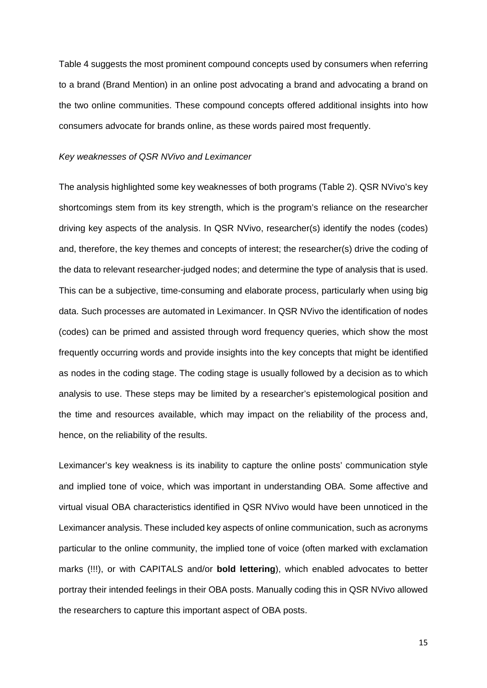Table 4 suggests the most prominent compound concepts used by consumers when referring to a brand (Brand Mention) in an online post advocating a brand and advocating a brand on the two online communities. These compound concepts offered additional insights into how consumers advocate for brands online, as these words paired most frequently.

#### *Key weaknesses of QSR NVivo and Leximancer*

The analysis highlighted some key weaknesses of both programs (Table 2). QSR NVivo's key shortcomings stem from its key strength, which is the program's reliance on the researcher driving key aspects of the analysis. In QSR NVivo, researcher(s) identify the nodes (codes) and, therefore, the key themes and concepts of interest; the researcher(s) drive the coding of the data to relevant researcher-judged nodes; and determine the type of analysis that is used. This can be a subjective, time-consuming and elaborate process, particularly when using big data. Such processes are automated in Leximancer. In QSR NVivo the identification of nodes (codes) can be primed and assisted through word frequency queries, which show the most frequently occurring words and provide insights into the key concepts that might be identified as nodes in the coding stage. The coding stage is usually followed by a decision as to which analysis to use. These steps may be limited by a researcher's epistemological position and the time and resources available, which may impact on the reliability of the process and, hence, on the reliability of the results.

Leximancer's key weakness is its inability to capture the online posts' communication style and implied tone of voice, which was important in understanding OBA. Some affective and virtual visual OBA characteristics identified in QSR NVivo would have been unnoticed in the Leximancer analysis. These included key aspects of online communication, such as acronyms particular to the online community, the implied tone of voice (often marked with exclamation marks (!!!), or with CAPITALS and/or **bold lettering**), which enabled advocates to better portray their intended feelings in their OBA posts. Manually coding this in QSR NVivo allowed the researchers to capture this important aspect of OBA posts.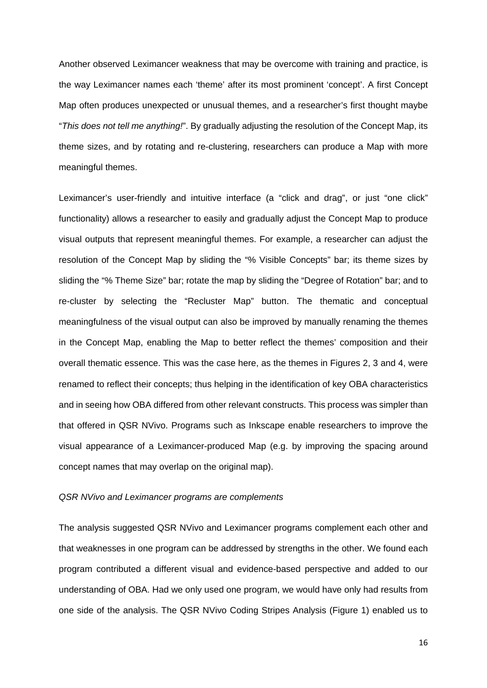Another observed Leximancer weakness that may be overcome with training and practice, is the way Leximancer names each 'theme' after its most prominent 'concept'. A first Concept Map often produces unexpected or unusual themes, and a researcher's first thought maybe "*This does not tell me anything!*". By gradually adjusting the resolution of the Concept Map, its theme sizes, and by rotating and re-clustering, researchers can produce a Map with more meaningful themes.

Leximancer's user-friendly and intuitive interface (a "click and drag", or just "one click" functionality) allows a researcher to easily and gradually adjust the Concept Map to produce visual outputs that represent meaningful themes. For example, a researcher can adjust the resolution of the Concept Map by sliding the "% Visible Concepts" bar; its theme sizes by sliding the "% Theme Size" bar; rotate the map by sliding the "Degree of Rotation" bar; and to re-cluster by selecting the "Recluster Map" button. The thematic and conceptual meaningfulness of the visual output can also be improved by manually renaming the themes in the Concept Map, enabling the Map to better reflect the themes' composition and their overall thematic essence. This was the case here, as the themes in Figures 2, 3 and 4, were renamed to reflect their concepts; thus helping in the identification of key OBA characteristics and in seeing how OBA differed from other relevant constructs. This process was simpler than that offered in QSR NVivo. Programs such as Inkscape enable researchers to improve the visual appearance of a Leximancer-produced Map (e.g. by improving the spacing around concept names that may overlap on the original map).

# *QSR NVivo and Leximancer programs are complements*

The analysis suggested QSR NVivo and Leximancer programs complement each other and that weaknesses in one program can be addressed by strengths in the other. We found each program contributed a different visual and evidence-based perspective and added to our understanding of OBA. Had we only used one program, we would have only had results from one side of the analysis. The QSR NVivo Coding Stripes Analysis (Figure 1) enabled us to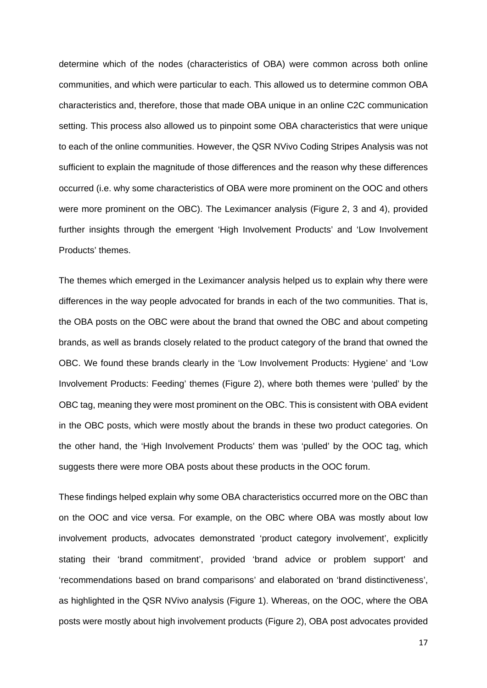determine which of the nodes (characteristics of OBA) were common across both online communities, and which were particular to each. This allowed us to determine common OBA characteristics and, therefore, those that made OBA unique in an online C2C communication setting. This process also allowed us to pinpoint some OBA characteristics that were unique to each of the online communities. However, the QSR NVivo Coding Stripes Analysis was not sufficient to explain the magnitude of those differences and the reason why these differences occurred (i.e. why some characteristics of OBA were more prominent on the OOC and others were more prominent on the OBC). The Leximancer analysis (Figure 2, 3 and 4), provided further insights through the emergent 'High Involvement Products' and 'Low Involvement Products' themes.

The themes which emerged in the Leximancer analysis helped us to explain why there were differences in the way people advocated for brands in each of the two communities. That is, the OBA posts on the OBC were about the brand that owned the OBC and about competing brands, as well as brands closely related to the product category of the brand that owned the OBC. We found these brands clearly in the 'Low Involvement Products: Hygiene' and 'Low Involvement Products: Feeding' themes (Figure 2), where both themes were 'pulled' by the OBC tag, meaning they were most prominent on the OBC. This is consistent with OBA evident in the OBC posts, which were mostly about the brands in these two product categories. On the other hand, the 'High Involvement Products' them was 'pulled' by the OOC tag, which suggests there were more OBA posts about these products in the OOC forum.

These findings helped explain why some OBA characteristics occurred more on the OBC than on the OOC and vice versa. For example, on the OBC where OBA was mostly about low involvement products, advocates demonstrated 'product category involvement', explicitly stating their 'brand commitment', provided 'brand advice or problem support' and 'recommendations based on brand comparisons' and elaborated on 'brand distinctiveness', as highlighted in the QSR NVivo analysis (Figure 1). Whereas, on the OOC, where the OBA posts were mostly about high involvement products (Figure 2), OBA post advocates provided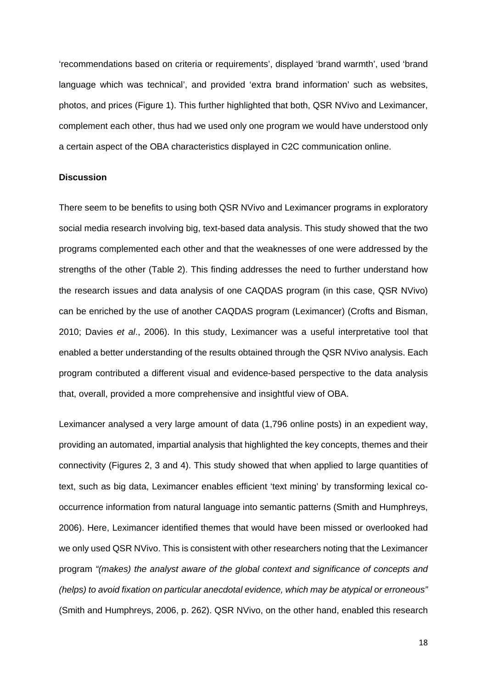'recommendations based on criteria or requirements', displayed 'brand warmth', used 'brand language which was technical', and provided 'extra brand information' such as websites, photos, and prices (Figure 1). This further highlighted that both, QSR NVivo and Leximancer, complement each other, thus had we used only one program we would have understood only a certain aspect of the OBA characteristics displayed in C2C communication online.

# **Discussion**

There seem to be benefits to using both QSR NVivo and Leximancer programs in exploratory social media research involving big, text-based data analysis. This study showed that the two programs complemented each other and that the weaknesses of one were addressed by the strengths of the other (Table 2). This finding addresses the need to further understand how the research issues and data analysis of one CAQDAS program (in this case, QSR NVivo) can be enriched by the use of another CAQDAS program (Leximancer) (Crofts and Bisman, 2010; Davies *et al*., 2006). In this study, Leximancer was a useful interpretative tool that enabled a better understanding of the results obtained through the QSR NVivo analysis. Each program contributed a different visual and evidence-based perspective to the data analysis that, overall, provided a more comprehensive and insightful view of OBA.

Leximancer analysed a very large amount of data (1,796 online posts) in an expedient way, providing an automated, impartial analysis that highlighted the key concepts, themes and their connectivity (Figures 2, 3 and 4). This study showed that when applied to large quantities of text, such as big data, Leximancer enables efficient 'text mining' by transforming lexical cooccurrence information from natural language into semantic patterns (Smith and Humphreys, 2006). Here, Leximancer identified themes that would have been missed or overlooked had we only used QSR NVivo. This is consistent with other researchers noting that the Leximancer program *"(makes) the analyst aware of the global context and significance of concepts and (helps) to avoid fixation on particular anecdotal evidence, which may be atypical or erroneous"* (Smith and Humphreys, 2006, p. 262). QSR NVivo, on the other hand, enabled this research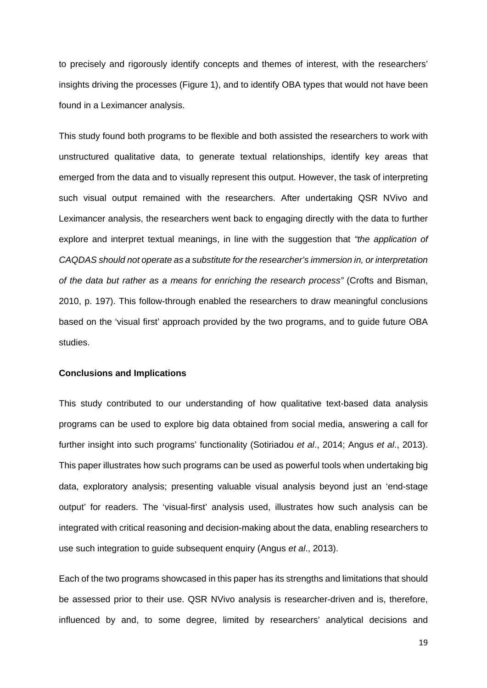to precisely and rigorously identify concepts and themes of interest, with the researchers' insights driving the processes (Figure 1), and to identify OBA types that would not have been found in a Leximancer analysis.

This study found both programs to be flexible and both assisted the researchers to work with unstructured qualitative data, to generate textual relationships, identify key areas that emerged from the data and to visually represent this output. However, the task of interpreting such visual output remained with the researchers. After undertaking QSR NVivo and Leximancer analysis, the researchers went back to engaging directly with the data to further explore and interpret textual meanings, in line with the suggestion that *"the application of CAQDAS should not operate as a substitute for the researcher's immersion in, or interpretation of the data but rather as a means for enriching the research process"* (Crofts and Bisman, 2010, p. 197). This follow-through enabled the researchers to draw meaningful conclusions based on the 'visual first' approach provided by the two programs, and to guide future OBA studies.

#### **Conclusions and Implications**

This study contributed to our understanding of how qualitative text-based data analysis programs can be used to explore big data obtained from social media, answering a call for further insight into such programs' functionality (Sotiriadou *et al*., 2014; Angus *et al*., 2013). This paper illustrates how such programs can be used as powerful tools when undertaking big data, exploratory analysis; presenting valuable visual analysis beyond just an 'end-stage output' for readers. The 'visual-first' analysis used, illustrates how such analysis can be integrated with critical reasoning and decision-making about the data, enabling researchers to use such integration to guide subsequent enquiry (Angus *et al*., 2013).

Each of the two programs showcased in this paper has its strengths and limitations that should be assessed prior to their use. QSR NVivo analysis is researcher-driven and is, therefore, influenced by and, to some degree, limited by researchers' analytical decisions and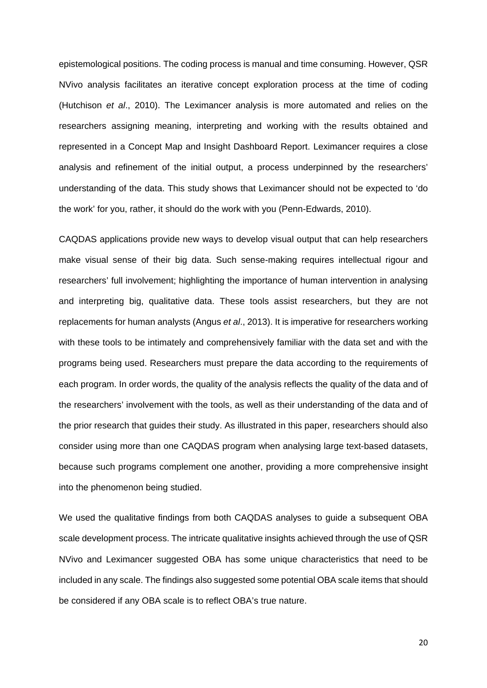epistemological positions. The coding process is manual and time consuming. However, QSR NVivo analysis facilitates an iterative concept exploration process at the time of coding (Hutchison *et al*., 2010). The Leximancer analysis is more automated and relies on the researchers assigning meaning, interpreting and working with the results obtained and represented in a Concept Map and Insight Dashboard Report. Leximancer requires a close analysis and refinement of the initial output, a process underpinned by the researchers' understanding of the data. This study shows that Leximancer should not be expected to 'do the work' for you, rather, it should do the work with you (Penn-Edwards, 2010).

CAQDAS applications provide new ways to develop visual output that can help researchers make visual sense of their big data. Such sense-making requires intellectual rigour and researchers' full involvement; highlighting the importance of human intervention in analysing and interpreting big, qualitative data. These tools assist researchers, but they are not replacements for human analysts (Angus *et al*., 2013). It is imperative for researchers working with these tools to be intimately and comprehensively familiar with the data set and with the programs being used. Researchers must prepare the data according to the requirements of each program. In order words, the quality of the analysis reflects the quality of the data and of the researchers' involvement with the tools, as well as their understanding of the data and of the prior research that guides their study. As illustrated in this paper, researchers should also consider using more than one CAQDAS program when analysing large text-based datasets, because such programs complement one another, providing a more comprehensive insight into the phenomenon being studied.

We used the qualitative findings from both CAQDAS analyses to guide a subsequent OBA scale development process. The intricate qualitative insights achieved through the use of QSR NVivo and Leximancer suggested OBA has some unique characteristics that need to be included in any scale. The findings also suggested some potential OBA scale items that should be considered if any OBA scale is to reflect OBA's true nature.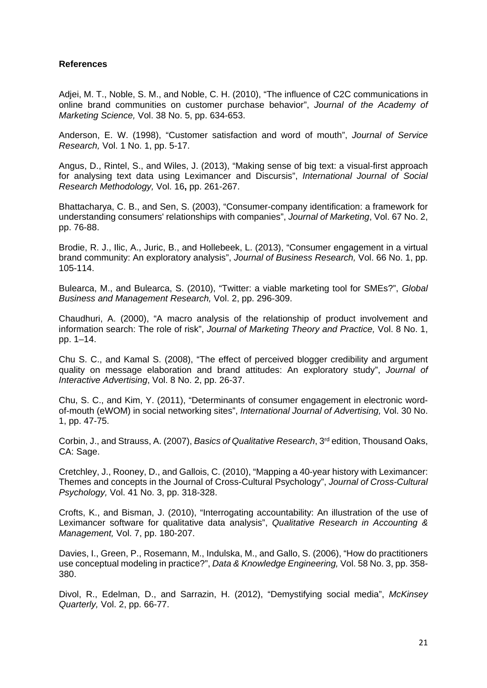# **References**

Adjei, M. T., Noble, S. M., and Noble, C. H. (2010), "The influence of C2C communications in online brand communities on customer purchase behavior", *Journal of the Academy of Marketing Science,* Vol. 38 No. 5, pp. 634-653.

Anderson, E. W. (1998), "Customer satisfaction and word of mouth", *Journal of Service Research,* Vol. 1 No. 1, pp. 5-17.

Angus, D., Rintel, S., and Wiles, J. (2013), "Making sense of big text: a visual-first approach for analysing text data using Leximancer and Discursis", *International Journal of Social Research Methodology,* Vol. 16**,** pp. 261-267.

Bhattacharya, C. B., and Sen, S. (2003), "Consumer-company identification: a framework for understanding consumers' relationships with companies", *Journal of Marketing*, Vol. 67 No. 2, pp. 76-88.

Brodie, R. J., Ilic, A., Juric, B., and Hollebeek, L. (2013), "Consumer engagement in a virtual brand community: An exploratory analysis", *Journal of Business Research,* Vol. 66 No. 1, pp. 105-114.

Bulearca, M., and Bulearca, S. (2010), "Twitter: a viable marketing tool for SMEs?", *Global Business and Management Research,* Vol. 2, pp. 296-309.

Chaudhuri, A. (2000), "A macro analysis of the relationship of product involvement and information search: The role of risk", *Journal of Marketing Theory and Practice,* Vol. 8 No. 1, pp. 1–14.

Chu S. C., and Kamal S. (2008), "The effect of perceived blogger credibility and argument quality on message elaboration and brand attitudes: An exploratory study", *Journal of Interactive Advertising*, Vol. 8 No. 2, pp. 26-37.

Chu, S. C., and Kim, Y. (2011), "Determinants of consumer engagement in electronic wordof-mouth (eWOM) in social networking sites", *International Journal of Advertising,* Vol. 30 No. 1, pp. 47-75.

Corbin, J., and Strauss, A. (2007), *Basics of Qualitative Research*, 3rd edition, Thousand Oaks, CA: Sage.

Cretchley, J., Rooney, D., and Gallois, C. (2010), "Mapping a 40-year history with Leximancer: Themes and concepts in the Journal of Cross-Cultural Psychology", *Journal of Cross-Cultural Psychology,* Vol. 41 No. 3, pp. 318-328.

Crofts, K., and Bisman, J. (2010), "Interrogating accountability: An illustration of the use of Leximancer software for qualitative data analysis", *Qualitative Research in Accounting & Management,* Vol. 7, pp. 180-207.

Davies, I., Green, P., Rosemann, M., Indulska, M., and Gallo, S. (2006), "How do practitioners use conceptual modeling in practice?", *Data & Knowledge Engineering,* Vol. 58 No. 3, pp. 358- 380.

Divol, R., Edelman, D., and Sarrazin, H. (2012), "Demystifying social media", *McKinsey Quarterly,* Vol. 2, pp. 66-77.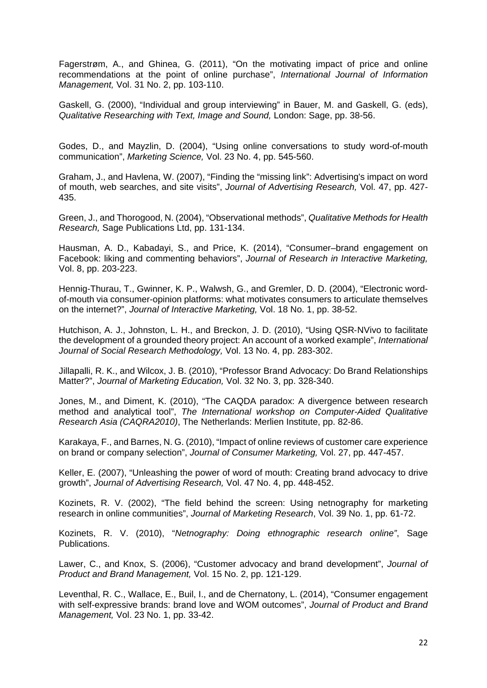Fagerstrøm, A., and Ghinea, G. (2011), "On the motivating impact of price and online recommendations at the point of online purchase", *International Journal of Information Management,* Vol. 31 No. 2, pp. 103-110.

Gaskell, G. (2000), "Individual and group interviewing" in Bauer, M. and Gaskell, G. (eds), *Qualitative Researching with Text, Image and Sound,* London: Sage, pp. 38-56.

Godes, D., and Mayzlin, D. (2004), "Using online conversations to study word-of-mouth communication", *Marketing Science,* Vol. 23 No. 4, pp. 545-560.

Graham, J., and Havlena, W. (2007), "Finding the "missing link": Advertising's impact on word of mouth, web searches, and site visits", *Journal of Advertising Research,* Vol. 47, pp. 427- 435.

Green, J., and Thorogood, N. (2004), "Observational methods", *Qualitative Methods for Health Research,* Sage Publications Ltd, pp. 131-134.

Hausman, A. D., Kabadayi, S., and Price, K. (2014), "Consumer–brand engagement on Facebook: liking and commenting behaviors", *Journal of Research in Interactive Marketing,* Vol. 8, pp. 203-223.

Hennig-Thurau, T., Gwinner, K. P., Walwsh, G., and Gremler, D. D. (2004), "Electronic wordof-mouth via consumer-opinion platforms: what motivates consumers to articulate themselves on the internet?", *Journal of Interactive Marketing,* Vol. 18 No. 1, pp. 38-52.

Hutchison, A. J., Johnston, L. H., and Breckon, J. D. (2010), "Using QSR‐NVivo to facilitate the development of a grounded theory project: An account of a worked example", *International Journal of Social Research Methodology,* Vol. 13 No. 4, pp. 283-302.

Jillapalli, R. K., and Wilcox, J. B. (2010), "Professor Brand Advocacy: Do Brand Relationships Matter?", *Journal of Marketing Education,* Vol. 32 No. 3, pp. 328-340.

Jones, M., and Diment, K. (2010), "The CAQDA paradox: A divergence between research method and analytical tool", *The International workshop on Computer-Aided Qualitative Research Asia (CAQRA2010)*, The Netherlands: Merlien Institute, pp. 82-86.

Karakaya, F., and Barnes, N. G. (2010), "Impact of online reviews of customer care experience on brand or company selection", *Journal of Consumer Marketing,* Vol. 27, pp. 447-457.

Keller, E. (2007), "Unleashing the power of word of mouth: Creating brand advocacy to drive growth", *Journal of Advertising Research,* Vol. 47 No. 4, pp. 448-452.

Kozinets, R. V. (2002), "The field behind the screen: Using netnography for marketing research in online communities", *Journal of Marketing Research*, Vol. 39 No. 1, pp. 61-72.

Kozinets, R. V. (2010), "*Netnography: Doing ethnographic research online"*, Sage Publications.

Lawer, C., and Knox, S. (2006), "Customer advocacy and brand development", *Journal of Product and Brand Management,* Vol. 15 No. 2, pp. 121-129.

Leventhal, R. C., Wallace, E., Buil, I., and de Chernatony, L. (2014), "Consumer engagement with self-expressive brands: brand love and WOM outcomes", *Journal of Product and Brand Management,* Vol. 23 No. 1, pp. 33-42.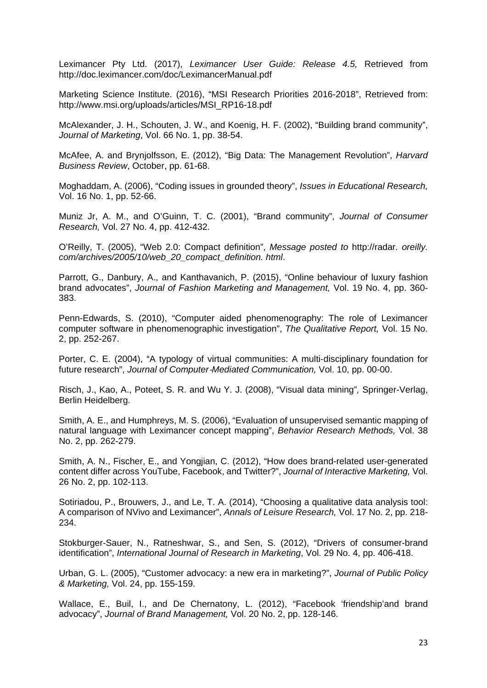Leximancer Pty Ltd. (2017), *Leximancer User Guide: Release 4.5,* Retrieved from http://doc.leximancer.com/doc/LeximancerManual.pdf

Marketing Science Institute. (2016), "MSI Research Priorities 2016-2018", Retrieved from: http://www.msi.org/uploads/articles/MSI\_RP16-18.pdf

McAlexander, J. H., Schouten, J. W., and Koenig, H. F. (2002), "Building brand community", *Journal of Marketing*, Vol. 66 No. 1, pp. 38-54.

McAfee, A. and Brynjolfsson, E. (2012), "Big Data: The Management Revolution", *Harvard Business Review*, October, pp. 61-68.

Moghaddam, A. (2006), "Coding issues in grounded theory", *Issues in Educational Research,* Vol. 16 No. 1, pp. 52-66.

Muniz Jr, A. M., and O'Guinn, T. C. (2001), "Brand community", *Journal of Consumer Research,* Vol. 27 No. 4, pp. 412-432.

O'Reilly, T. (2005), "Web 2.0: Compact definition", *Message posted to* http://radar*. oreilly. com/archives/2005/10/web\_20\_compact\_definition. html*.

Parrott, G., Danbury, A., and Kanthavanich, P. (2015), "Online behaviour of luxury fashion brand advocates", *Journal of Fashion Marketing and Management,* Vol. 19 No. 4, pp. 360- 383.

Penn-Edwards, S. (2010), "Computer aided phenomenography: The role of Leximancer computer software in phenomenographic investigation", *The Qualitative Report,* Vol. 15 No. 2, pp. 252-267.

Porter, C. E. (2004), "A typology of virtual communities: A multi‐disciplinary foundation for future research", *Journal of Computer*‐*Mediated Communication,* Vol. 10, pp. 00-00.

Risch, J., Kao, A., Poteet, S. R. and Wu Y. J. (2008), "Visual data mining"*,* Springer-Verlag, Berlin Heidelberg.

Smith, A. E., and Humphreys, M. S. (2006), "Evaluation of unsupervised semantic mapping of natural language with Leximancer concept mapping", *Behavior Research Methods,* Vol. 38 No. 2, pp. 262-279.

Smith, A. N., Fischer, E., and Yongjian, C. (2012), "How does brand-related user-generated content differ across YouTube, Facebook, and Twitter?", *Journal of Interactive Marketing,* Vol. 26 No. 2, pp. 102-113.

Sotiriadou, P., Brouwers, J., and Le, T. A. (2014), "Choosing a qualitative data analysis tool: A comparison of NVivo and Leximancer", *Annals of Leisure Research,* Vol. 17 No. 2, pp. 218- 234.

Stokburger-Sauer, N., Ratneshwar, S., and Sen, S. (2012), "Drivers of consumer-brand identification", *International Journal of Research in Marketing*, Vol. 29 No. 4, pp. 406-418.

Urban, G. L. (2005), "Customer advocacy: a new era in marketing?", *Journal of Public Policy & Marketing,* Vol. 24, pp. 155-159.

Wallace, E., Buil, I., and De Chernatony, L. (2012), "Facebook 'friendship'and brand advocacy", *Journal of Brand Management,* Vol. 20 No. 2, pp. 128-146.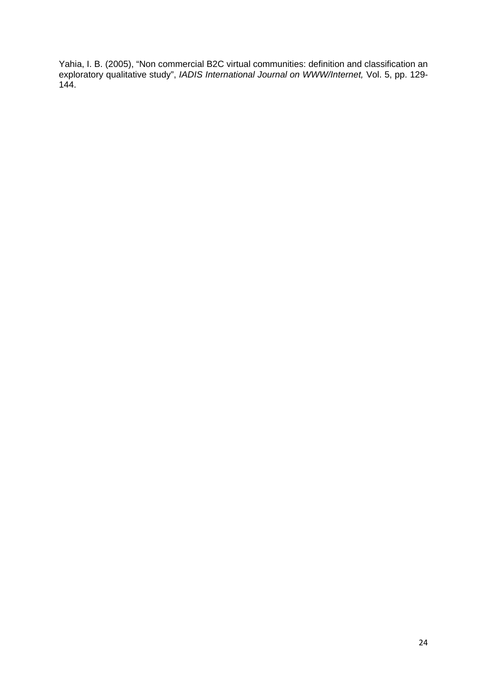Yahia, I. B. (2005), "Non commercial B2C virtual communities: definition and classification an exploratory qualitative study", *IADIS International Journal on WWW/Internet,* Vol. 5, pp. 129- 144.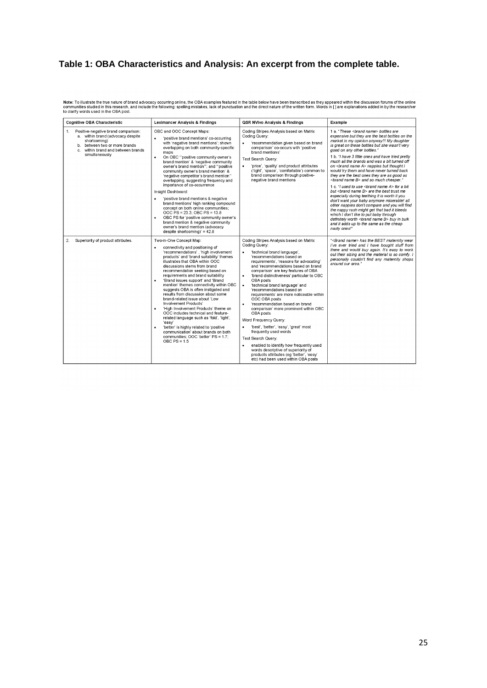# **Table 1: OBA Characteristics and Analysis: An excerpt from the complete table.**

Note: To illustrate the true nature of brand advocacy occurring online, the OBA examples featured in the table below have been transcribed as they appeared within the discussion forums of the online<br>communities studied in

| <b>Cognitive OBA Characteristic</b>                                                                                                                                                     | <b>Leximancer Analysis &amp; Findings</b>                                                                                                                                                                                                                                                                                                                                                                                                                                                                                                                                                                                                                                                                                                                                                                                                                | QSR NVivo Analysis & Findings                                                                                                                                                                                                                                                                                                                                                                                                                                                                                                                                                                                                                                                                                                                                                                                                                                          | Example                                                                                                                                                                                                                                                                                                                                                                                                                                                                                                                                                                                                                                                                                                                                                                                                                                                                                                                                                                                                                                               |
|-----------------------------------------------------------------------------------------------------------------------------------------------------------------------------------------|----------------------------------------------------------------------------------------------------------------------------------------------------------------------------------------------------------------------------------------------------------------------------------------------------------------------------------------------------------------------------------------------------------------------------------------------------------------------------------------------------------------------------------------------------------------------------------------------------------------------------------------------------------------------------------------------------------------------------------------------------------------------------------------------------------------------------------------------------------|------------------------------------------------------------------------------------------------------------------------------------------------------------------------------------------------------------------------------------------------------------------------------------------------------------------------------------------------------------------------------------------------------------------------------------------------------------------------------------------------------------------------------------------------------------------------------------------------------------------------------------------------------------------------------------------------------------------------------------------------------------------------------------------------------------------------------------------------------------------------|-------------------------------------------------------------------------------------------------------------------------------------------------------------------------------------------------------------------------------------------------------------------------------------------------------------------------------------------------------------------------------------------------------------------------------------------------------------------------------------------------------------------------------------------------------------------------------------------------------------------------------------------------------------------------------------------------------------------------------------------------------------------------------------------------------------------------------------------------------------------------------------------------------------------------------------------------------------------------------------------------------------------------------------------------------|
| Positive-negative brand comparison:<br>1.<br>a. within brand (advocacy despite<br>shortcoming)<br>b. between two or more brands<br>c. within brand and between brands<br>simultaneously | OBC and OOC Concept Maps:<br>'positive brand mentions' co-occurring<br>$\bullet$<br>with 'negative brand mentions': shown<br>overlapping on both community-specific<br>maps<br>$\bullet$<br>On OBC "positive community owner's<br>brand mention' & 'negative community<br>owner's brand mention": and "positive<br>community owner's brand mention' &<br>'negative competitor's brand mention'"<br>overlapping, suggesting frequency and<br>importance of co-occurrence<br>Insight Dashboard:<br>$\bullet$<br>'positive brand mentions & negative<br>brand mentions' high ranking compound<br>concept on both online communities:<br>OOC PS = 23.3; OBC PS = 13.8<br>OBC PS for 'positive community owner's<br>$\bullet$<br>brand mention & negative community<br>owner's brand mention (advocacy<br>despite shortcoming)' = $42.8$                      | Coding Stripes Analysis based on Matrix<br>Coding Query:<br>'recommendation given based on brand<br>$\bullet$<br>comparison' co-occurs with 'positive<br>brand mentions'<br>Text Search Query:<br>'price', 'quality' and product attributes<br>('light', 'space', 'comfortable') common to<br>brand comparison through positive-<br>negative brand mentions                                                                                                                                                                                                                                                                                                                                                                                                                                                                                                            | 1 a. "These <brand name=""> bottles are<br/>expensive but they are the best bottles on the<br/>market in my opinion anyway!!! My daughter<br/>is great on these bottles but she wasn't very<br/>good on any other bottles."<br/>1 b. "I have 3 little ones and have tried pretty<br/>much all the brands and was a bit turned off<br/>on <br/>brand name A&gt; napples but thought i<br/>would try them and have never turned back<br/>they are the best ones they are as good as<br><brand b="" name=""> and so much cheaper."<br/>1 c. "I used to use <brand a="" name=""> for a bit<br/>but <br/>brand name B&gt; are the best trust me<br/>especially during teething it is worth it you<br/>don't want your baby anymore miserable! all<br>other nappies don't compare and you will find<br/>the nappy rash might get that bad it bleeds<br/>which I don't like to put baby through<br/>definitely worth <brand b="" name=""> buy in bulk<br/>and it adds up to the same as the cheap<br/>nasty ones!"</brand></br></brand></brand></br></brand> |
| 2 <sub>1</sub><br>Superiority of product attributes.                                                                                                                                    | Two-in-One Concept Map:<br>connectivity and positioning of<br>$\bullet$<br>'recommendations', 'high involvement<br>products' and 'brand suitability' themes<br>illustrates that OBA within OOC<br>discussions stems from brand<br>recommendation seeking based on<br>requirements and brand suitability<br>'Brand issues support' and 'Brand<br>$\bullet$<br>mention' themes connectivity within OBC<br>suggests OBA is often instigated and<br>results from discussion about some<br>brand-related issue about 'Low<br>Involvement Products'<br>'High Involvement Products' theme on<br>$\bullet$<br>OOC includes technical and feature-<br>related language such as 'fold', 'light',<br>'easv'<br>'better' is highly related to 'positive<br>$\bullet$<br>communication' about brands on both<br>communities: OOC 'better' PS = 1.7:<br>OBC $PS = 1.5$ | Coding Stripes Analysis based on Matrix<br>Coding Query:<br>'technical brand language'.<br>'recommendations based on<br>requirements', 'reasons for advocating'<br>and 'recommendations based on brand<br>comparison' are key features of OBA<br>'brand distinctiveness' particular to OBC<br>$\bullet$<br>OBA posts<br>$\bullet$<br>'technical brand language' and<br>'recommendations based on<br>requirements' are more noticeable within<br>OOC OBA posts<br>'recommendation based on brand<br>$\bullet$<br>comparison' more prominent within OBC<br>OBA posts<br>Word Frequency Query:<br>'best', 'better', 'easy', 'great' most<br>$\bullet$<br>frequently used words<br>Text Search Query:<br>enabled to identify how frequently used<br>words descriptive of superiority of<br>products attributes (eg 'better', 'easy'<br>etc) had been used within OBA posts | " <brand name=""> has the BEST maternity wear<br/>I've ever tried and I have bought stuff from<br/>there and would buy again. It's easy to work<br/>out their sizing and the material is so comfy. I<br/>personally couldn't find any maternity shops<br/>around our area."</brand>                                                                                                                                                                                                                                                                                                                                                                                                                                                                                                                                                                                                                                                                                                                                                                   |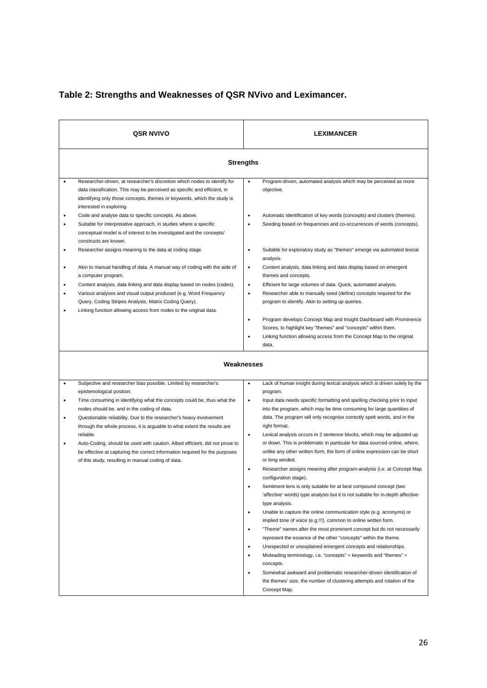|  |  |  |  | Table 2: Strengths and Weaknesses of QSR NVivo and Leximancer. |
|--|--|--|--|----------------------------------------------------------------|
|--|--|--|--|----------------------------------------------------------------|

|           | QSR NVIVO                                                                                                                                                                                                                                                    | <b>LEXIMANCER</b>                                                                                                                                                          |  |  |  |  |  |  |
|-----------|--------------------------------------------------------------------------------------------------------------------------------------------------------------------------------------------------------------------------------------------------------------|----------------------------------------------------------------------------------------------------------------------------------------------------------------------------|--|--|--|--|--|--|
|           | <b>Strengths</b>                                                                                                                                                                                                                                             |                                                                                                                                                                            |  |  |  |  |  |  |
|           | Researcher-driven, at researcher's discretion which nodes to identify for<br>data classification. This may be perceived as specific and efficient, in<br>identifying only those concepts, themes or keywords, which the study is<br>interested in exploring. | Program-driven, automated analysis which may be perceived as more<br>$\bullet$<br>objective.                                                                               |  |  |  |  |  |  |
|           | Code and analyse data to specific concepts. As above.<br>Suitable for interpretative approach, in studies where a specific                                                                                                                                   | Automatic identification of key words (concepts) and clusters (themes).<br>Seeding based on frequencies and co-occurrences of words (concepts).<br>$\bullet$               |  |  |  |  |  |  |
|           | conceptual model is of interest to be investigated and the concepts/<br>constructs are known.                                                                                                                                                                |                                                                                                                                                                            |  |  |  |  |  |  |
|           | Researcher assigns meaning to the data at coding stage.                                                                                                                                                                                                      | Suitable for exploratory study as "themes" emerge via automated lexical<br>٠<br>analysis.                                                                                  |  |  |  |  |  |  |
| $\bullet$ | Akin to manual handling of data. A manual way of coding with the aide of<br>a computer program.                                                                                                                                                              | Content analysis, data linking and data display based on emergent<br>$\bullet$<br>themes and concepts.                                                                     |  |  |  |  |  |  |
|           | Content analysis, data linking and data display based on nodes (codes).                                                                                                                                                                                      | Efficient for large volumes of data. Quick, automated analysis.<br>٠                                                                                                       |  |  |  |  |  |  |
|           | Various analyses and visual output produced (e.g. Word Frequency                                                                                                                                                                                             | Researcher able to manually seed (define) concepts required for the<br>٠                                                                                                   |  |  |  |  |  |  |
|           | Query, Coding Stripes Analysis, Matrix Coding Query).                                                                                                                                                                                                        | program to identify. Akin to setting up queries.                                                                                                                           |  |  |  |  |  |  |
|           | Linking function allowing access from nodes to the original data.                                                                                                                                                                                            | Program develops Concept Map and Insight Dashboard with Prominence<br>٠                                                                                                    |  |  |  |  |  |  |
|           |                                                                                                                                                                                                                                                              | Scores, to highlight key "themes" and "concepts" within them.                                                                                                              |  |  |  |  |  |  |
|           |                                                                                                                                                                                                                                                              | Linking function allowing access from the Concept Map to the original<br>٠                                                                                                 |  |  |  |  |  |  |
|           |                                                                                                                                                                                                                                                              | data.                                                                                                                                                                      |  |  |  |  |  |  |
|           | Subjective and researcher bias possible. Limited by researcher's                                                                                                                                                                                             | Weaknesses<br>Lack of human insight during lexical analysis which is driven solely by the<br>٠                                                                             |  |  |  |  |  |  |
|           | epistemological position.                                                                                                                                                                                                                                    | program.                                                                                                                                                                   |  |  |  |  |  |  |
|           | Time consuming in identifying what the concepts could be, thus what the                                                                                                                                                                                      | Input data needs specific formatting and spelling checking prior to input<br>$\bullet$                                                                                     |  |  |  |  |  |  |
|           | nodes should be, and in the coding of data.                                                                                                                                                                                                                  | into the program, which may be time consuming for large quantities of<br>data. The program will only recognise correctly spelt words, and in the                           |  |  |  |  |  |  |
|           | Questionable reliability. Due to the researcher's heavy involvement<br>through the whole process, it is arguable to what extent the results are                                                                                                              | right format.                                                                                                                                                              |  |  |  |  |  |  |
|           | reliable.                                                                                                                                                                                                                                                    | $\bullet$<br>Lexical analysis occurs in 2 sentence blocks, which may be adjusted up                                                                                        |  |  |  |  |  |  |
|           | Auto-Coding, should be used with caution. Albeit efficient, did not prove to<br>be effective at capturing the correct information required for the purposes<br>of this study, resulting in manual coding of data.                                            | or down. This is problematic in particular for data sourced online, where,<br>unlike any other written form, the form of online expression can be short<br>or long winded. |  |  |  |  |  |  |
|           |                                                                                                                                                                                                                                                              | Researcher assigns meaning after program-analysis (i.e. at Concept Map<br>$\bullet$<br>configuration stage).                                                               |  |  |  |  |  |  |
|           |                                                                                                                                                                                                                                                              | Sentiment lens is only suitable for at best compound concept (two<br>'affective' words) type analysis but it is not suitable for in-depth affective-<br>type analysis.     |  |  |  |  |  |  |
|           |                                                                                                                                                                                                                                                              | Unable to capture the online communication style (e.g. acronyms) or<br>$\bullet$                                                                                           |  |  |  |  |  |  |
|           |                                                                                                                                                                                                                                                              | implied tone of voice (e.g.!!!), common to online written form.<br>"Theme" names after the most prominent concept but do not necessarily<br>٠                              |  |  |  |  |  |  |
|           |                                                                                                                                                                                                                                                              | represent the essence of the other "concepts" within the theme.                                                                                                            |  |  |  |  |  |  |
|           |                                                                                                                                                                                                                                                              | Unexpected or unexplained emergent concepts and relationships.<br>$\bullet$<br>Misleading terminology, i.e. "concepts" = keywords and "themes" =<br>٠                      |  |  |  |  |  |  |
|           |                                                                                                                                                                                                                                                              | concepts.                                                                                                                                                                  |  |  |  |  |  |  |
|           |                                                                                                                                                                                                                                                              | Somewhat awkward and problematic researcher-driven identification of<br>٠<br>the themes' size, the number of clustering attempts and rotation of the<br>Concept Map.       |  |  |  |  |  |  |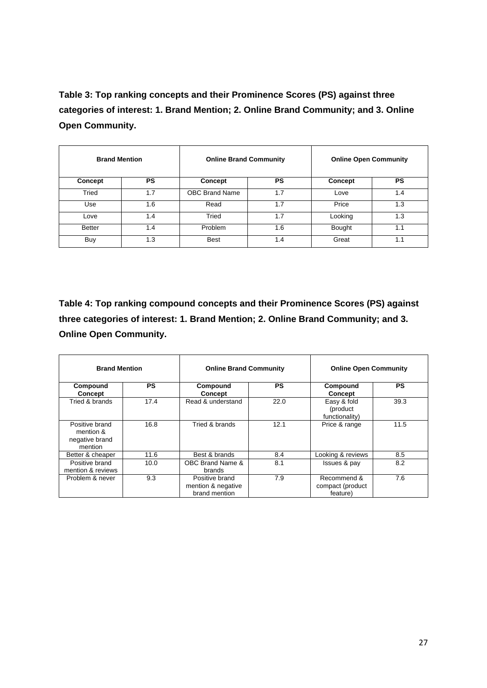**Table 3: Top ranking concepts and their Prominence Scores (PS) against three categories of interest: 1. Brand Mention; 2. Online Brand Community; and 3. Online Open Community.**

|               | <b>Brand Mention</b> | <b>Online Brand Community</b> |           | <b>Online Open Community</b> |     |  |  |  |  |
|---------------|----------------------|-------------------------------|-----------|------------------------------|-----|--|--|--|--|
| Concept       | PS                   | Concept                       | <b>PS</b> | Concept                      | PS  |  |  |  |  |
| Tried         | 1.7                  | <b>OBC Brand Name</b>         | 1.7       | Love                         | 1.4 |  |  |  |  |
| Use           | 1.6                  | Read                          | 1.7       | Price                        | 1.3 |  |  |  |  |
| Love          | 1.4                  | Tried                         | 1.7       | Looking                      | 1.3 |  |  |  |  |
| <b>Better</b> | 1.4                  | Problem                       | 1.6       | Bought                       | 1.1 |  |  |  |  |
| Buy           | 1.3                  | <b>Best</b>                   | 1.4       | Great                        | 1.1 |  |  |  |  |

**Table 4: Top ranking compound concepts and their Prominence Scores (PS) against three categories of interest: 1. Brand Mention; 2. Online Brand Community; and 3. Online Open Community.**

| <b>Brand Mention</b>                                     |           | <b>Online Brand Community</b>                         |           | <b>Online Open Community</b>                |           |  |
|----------------------------------------------------------|-----------|-------------------------------------------------------|-----------|---------------------------------------------|-----------|--|
| Compound<br><b>Concept</b>                               | <b>PS</b> | Compound<br><b>Concept</b>                            | <b>PS</b> | Compound<br>Concept                         | <b>PS</b> |  |
| Tried & brands                                           | 17.4      | Read & understand                                     | 22.0      | Easy & fold<br>(product)<br>functionality)  | 39.3      |  |
| Positive brand<br>mention &<br>negative brand<br>mention | 16.8      | Tried & brands                                        | 12.1      | Price & range                               | 11.5      |  |
| Better & cheaper                                         | 11.6      | Best & brands                                         | 8.4       | Looking & reviews                           | 8.5       |  |
| Positive brand<br>mention & reviews                      | 10.0      | OBC Brand Name &<br>brands                            | 8.1       | Issues & pay                                | 8.2       |  |
| Problem & never                                          | 9.3       | Positive brand<br>mention & negative<br>brand mention | 7.9       | Recommend &<br>compact (product<br>feature) | 7.6       |  |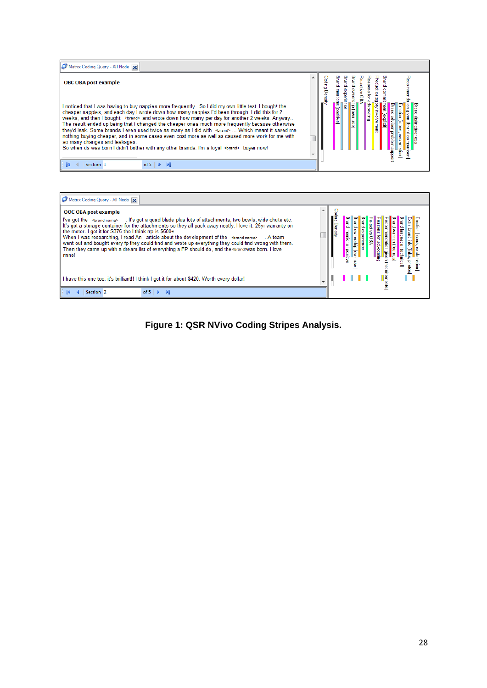| Matrix Coding Query - All Node X                                                                                                                                                                                                                                                                                                                                                                                                                                                                                                                                                                                                                                                                                                                                                                 |        |            |               |           |          |                 |                                                                  |  |
|--------------------------------------------------------------------------------------------------------------------------------------------------------------------------------------------------------------------------------------------------------------------------------------------------------------------------------------------------------------------------------------------------------------------------------------------------------------------------------------------------------------------------------------------------------------------------------------------------------------------------------------------------------------------------------------------------------------------------------------------------------------------------------------------------|--------|------------|---------------|-----------|----------|-----------------|------------------------------------------------------------------|--|
| OBC OBA post example<br>noticed that I was having to buy nappies more frequently So I did my own little test. I bought the<br>cheaper nappies, and each day I wrote down how many nappies I'd been through. I did this for 2<br>weeks, and then I bought<br>shand> and wrote down how many per day for another 2 weeks. Anyway<br>The result ended up being that I changed the cheaper ones much more frequently because otherwise<br>they'd leak. Some brands I even used twice as many as I did with <brand>  Which meant it saved me<br>nothing buying cheaper, and in some cases even cost more as well as caused more work for me with<br/>so many changes and leakages.<br/>So when ds was born I didn't bother with any other brands. I'm a loyal <br/>sbrand&gt; buyer now!</br></brand> | ensity | (positive) | hip (own use) | dvocating | olvement | problem<br>ddns | Recomment<br>given<br><b>brand</b><br>excla mation<br>comparison |  |
| of $5 \rightarrow \rightarrow$<br>Section 1                                                                                                                                                                                                                                                                                                                                                                                                                                                                                                                                                                                                                                                                                                                                                      |        |            |               |           |          |                 |                                                                  |  |

| Matrix Coding Query - All Node X                                                                                                                                                                                                                                                                                                                                                                                                                                                                                                                                                                                               |                                                                                                               |
|--------------------------------------------------------------------------------------------------------------------------------------------------------------------------------------------------------------------------------------------------------------------------------------------------------------------------------------------------------------------------------------------------------------------------------------------------------------------------------------------------------------------------------------------------------------------------------------------------------------------------------|---------------------------------------------------------------------------------------------------------------|
| OOC OBA post example<br>It've got the $\leq$ brand name> . It's got a quad blade plus lots of attachments, two bowls, wide chute etc.<br>It's got a storage container for the attachments so they all pack away neatly. I love it. 25yr warranty on<br>the motor. I got it for S375 tho I think rrp is \$500+<br>When I was researching, I read An article about the development of the<br><br>A team<br>went out and bought every fp they could find and wrote up everything they could find wrong with them.<br>Then they came up with a dream list of everything a FP should do, and the<br>brand>was born. I love<br>mine! | ding Density<br>Brand<br>Brand<br>Brand<br>mentions<br>ownership<br>房<br>(positive<br>(links<br>ocatin<br>ទ្ទ |
| Thave this one too, it's brilliant!! I think I got it for about \$420. Worth every dollar!                                                                                                                                                                                                                                                                                                                                                                                                                                                                                                                                     | eme                                                                                                           |
| of 5 $\rightarrow$ $\rightarrow$<br>Section <sub>2</sub>                                                                                                                                                                                                                                                                                                                                                                                                                                                                                                                                                                       |                                                                                                               |

**Figure 1: QSR NVivo Coding Stripes Analysis.**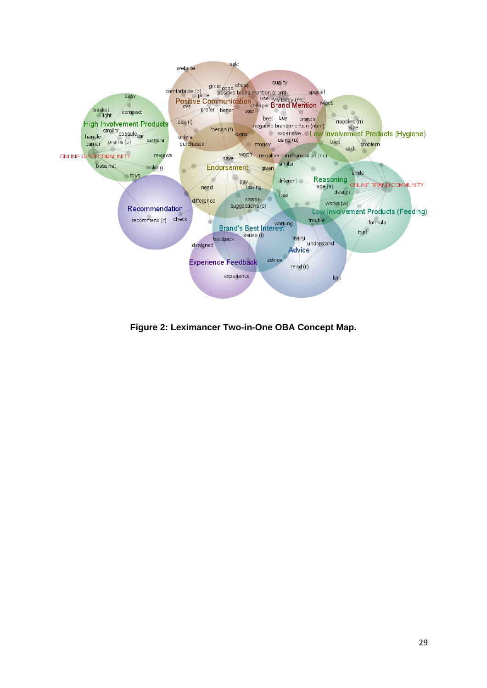

**Figure 2: Leximancer Two-in-One OBA Concept Map.**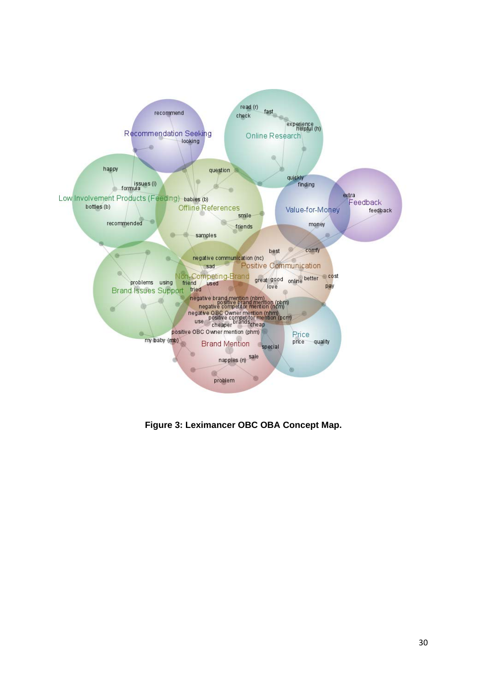

**Figure 3: Leximancer OBC OBA Concept Map.**